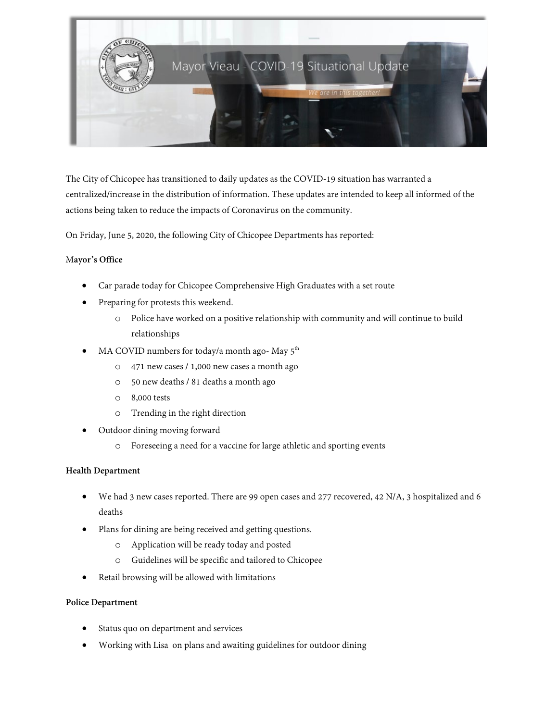

The City of Chicopee has transitioned to daily updates as the COVID-19 situation has warranted a centralized/increase in the distribution of information. These updates are intended to keep all informed of the actions being taken to reduce the impacts of Coronavirus on the community.

On Friday, June 5, 2020, the following City of Chicopee Departments has reported:

## M**ayor's Office**

- Car parade today for Chicopee Comprehensive High Graduates with a set route
- Preparing for protests this weekend.
	- o Police have worked on a positive relationship with community and will continue to build relationships
- MA COVID numbers for today/a month ago- May  $5<sup>th</sup>$ 
	- o 471 new cases / 1,000 new cases a month ago
	- o 50 new deaths / 81 deaths a month ago
	- o 8,000 tests
	- o Trending in the right direction
- Outdoor dining moving forward
	- o Foreseeing a need for a vaccine for large athletic and sporting events

#### **Health Department**

- We had 3 new cases reported. There are 99 open cases and 277 recovered, 42 N/A, 3 hospitalized and 6 deaths
- Plans for dining are being received and getting questions.
	- o Application will be ready today and posted
	- o Guidelines will be specific and tailored to Chicopee
- Retail browsing will be allowed with limitations

#### **Police Department**

- Status quo on department and services
- Working with Lisa on plans and awaiting guidelines for outdoor dining